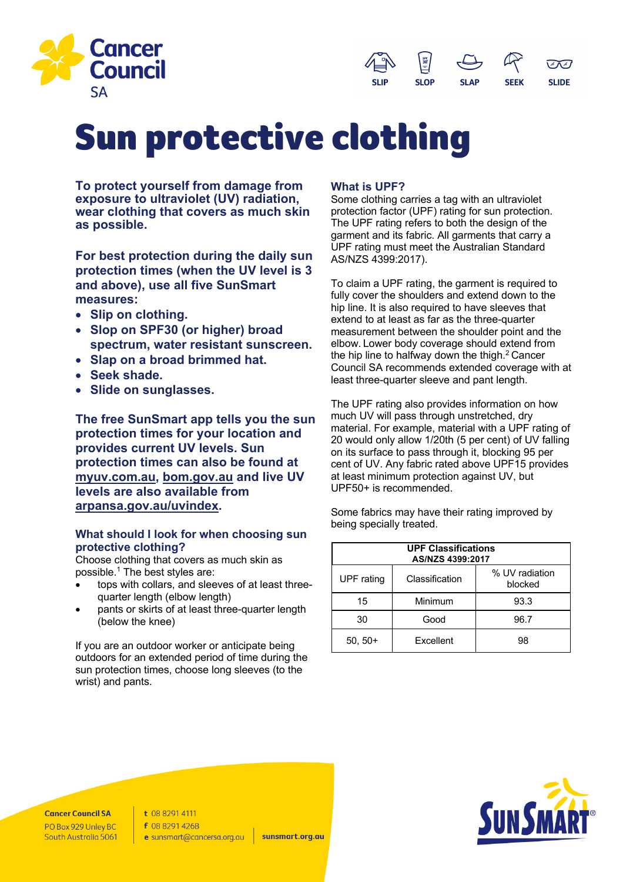



# Sun protective clothing

**To protect yourself from damage from exposure to ultraviolet (UV) radiation, wear clothing that covers as much skin as possible.** 

**For best protection during the daily sun protection times (when the UV level is 3 and above), use all five SunSmart measures:**

- **Slip on clothing.**
- **Slop on SPF30 (or higher) broad spectrum, water resistant sunscreen.**
- **Slap on a broad brimmed hat.**
- **Seek shade.**
- **Slide on sunglasses.**

**The free SunSmart app tells you the sun protection times for your location and provides current UV levels. Sun protection times can also be found at myuv.com.au, bom.gov.au and live UV levels are also available from arpansa.gov.au/uvindex.**

# **What should I look for when choosing sun protective clothing?**

Choose clothing that covers as much skin as possible. $1$  The best styles are:

- tops with collars, and sleeves of at least threequarter length (elbow length)
- pants or skirts of at least three-quarter length (below the knee)

If you are an outdoor worker or anticipate being outdoors for an extended period of time during the sun protection times, choose long sleeves (to the wrist) and pants.

# **What is UPF?**

Some clothing carries a tag with an ultraviolet protection factor (UPF) rating for sun protection. The UPF rating refers to both the design of the garment and its fabric. All garments that carry a UPF rating must meet the Australian Standard AS/NZS 4399:2017).

To claim a UPF rating, the garment is required to fully cover the shoulders and extend down to the hip line. It is also required to have sleeves that extend to at least as far as the three-quarter measurement between the shoulder point and the elbow. Lower body coverage should extend from the hip line to halfway down the thigh. $2$  Cancer Council SA recommends extended coverage with at least three-quarter sleeve and pant length.

The UPF rating also provides information on how much UV will pass through unstretched, dry material. For example, material with a UPF rating of 20 would only allow 1/20th (5 per cent) of UV falling on its surface to pass through it, blocking 95 per cent of UV. Any fabric rated above UPF15 provides at least minimum protection against UV, but UPF50+ is recommended.

Some fabrics may have their rating improved by being specially treated.

| <b>UPF Classifications</b><br>AS/NZS 4399:2017 |                |                           |
|------------------------------------------------|----------------|---------------------------|
| <b>UPF</b> rating                              | Classification | % UV radiation<br>blocked |
| 15                                             | Minimum        | 93.3                      |
| 30                                             | Good           | 96.7                      |
| $50.50+$                                       | Excellent      | 98                        |



**Cancer Council SA** PO Box 929 Unley BC South Australia 5061 t 08 8291 4111 f 08 8291 4268 e sunsmart@cancersa.org.au

sunsmart.org.au